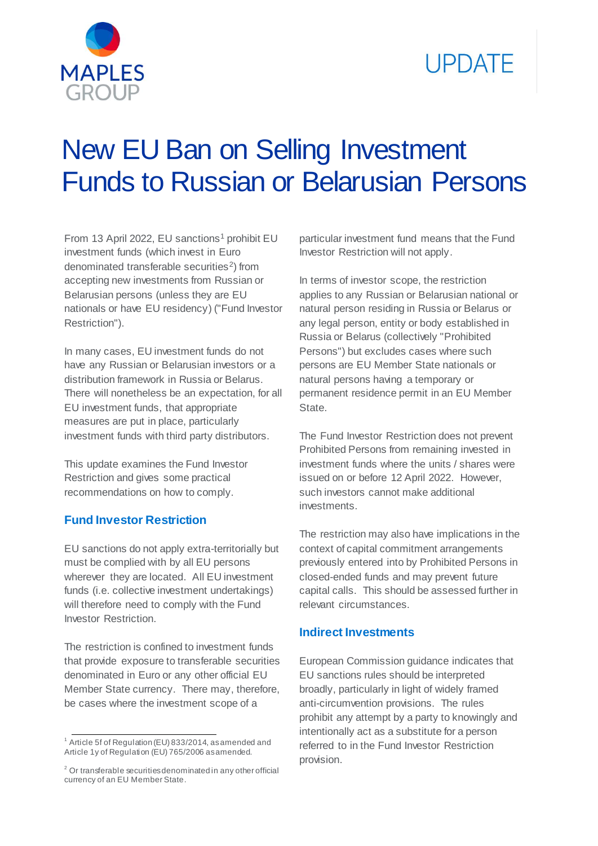

# **UPDATE**

# New EU Ban on Selling Investment Funds to Russian or Belarusian Persons

From 13 April 2022, EU sanctions<sup>1</sup> prohibit EU investment funds (which invest in Euro denominated transferable securities<sup>2</sup>) from accepting new investments from Russian or Belarusian persons (unless they are EU nationals or have EU residency) ("Fund Investor Restriction").

In many cases, EU investment funds do not have any Russian or Belarusian investors or a distribution framework in Russia or Belarus. There will nonetheless be an expectation, for all EU investment funds, that appropriate measures are put in place, particularly investment funds with third party distributors.

This update examines the Fund Investor Restriction and gives some practical recommendations on how to comply.

# **Fund Investor Restriction**

EU sanctions do not apply extra-territorially but must be complied with by all EU persons wherever they are located. All EU investment funds (i.e. collective investment undertakings) will therefore need to comply with the Fund Investor Restriction.

The restriction is confined to investment funds that provide exposure to transferable securities denominated in Euro or any other official EU Member State currency. There may, therefore, be cases where the investment scope of a

particular investment fund means that the Fund Investor Restriction will not apply.

In terms of investor scope, the restriction applies to any Russian or Belarusian national or natural person residing in Russia or Belarus or any legal person, entity or body established in Russia or Belarus (collectively "Prohibited Persons") but excludes cases where such persons are EU Member State nationals or natural persons having a temporary or permanent residence permit in an EU Member **State** 

The Fund Investor Restriction does not prevent Prohibited Persons from remaining invested in investment funds where the units / shares were issued on or before 12 April 2022. However, such investors cannot make additional investments.

The restriction may also have implications in the context of capital commitment arrangements previously entered into by Prohibited Persons in closed-ended funds and may prevent future capital calls. This should be assessed further in relevant circumstances.

#### **Indirect Investments**

European Commission guidance indicates that EU sanctions rules should be interpreted broadly, particularly in light of widely framed anti-circumvention provisions. The rules prohibit any attempt by a party to knowingly and intentionally act as a substitute for a person referred to in the Fund Investor Restriction provision.

<sup>1</sup>  $1$  Article 5f of Regulation (EU) 833/2014, as amended and Article 1y of Regulation (EU) 765/2006 as amended.

<sup>&</sup>lt;sup>2</sup> Or transferable securities denominated in any other official currency of an EU Member State.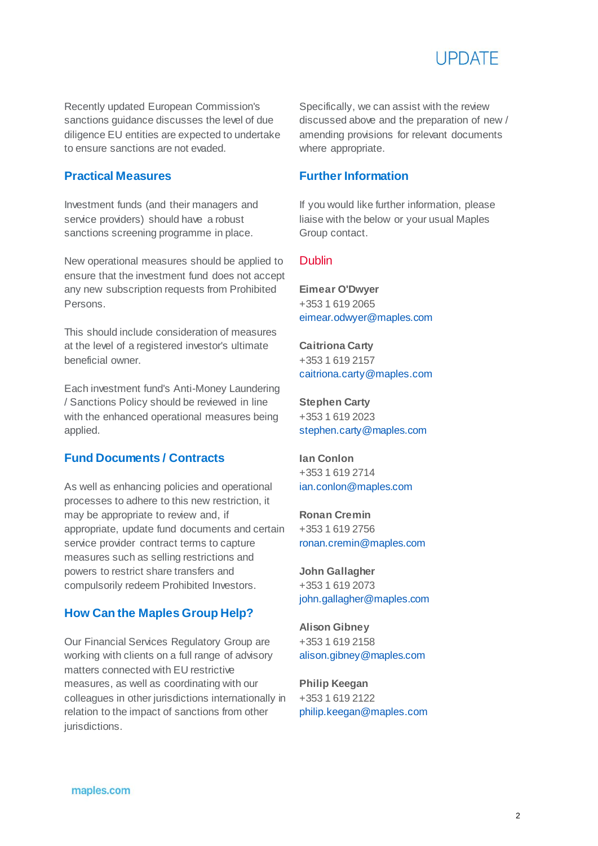

Recently updated European Commission's sanctions guidance discusses the level of due diligence EU entities are expected to undertake to ensure sanctions are not evaded.

#### **Practical Measures**

Investment funds (and their managers and service providers) should have a robust sanctions screening programme in place.

New operational measures should be applied to ensure that the investment fund does not accept any new subscription requests from Prohibited Persons.

This should include consideration of measures at the level of a registered investor's ultimate beneficial owner.

Each investment fund's Anti-Money Laundering / Sanctions Policy should be reviewed in line with the enhanced operational measures being applied.

#### **Fund Documents / Contracts**

As well as enhancing policies and operational processes to adhere to this new restriction, it may be appropriate to review and, if appropriate, update fund documents and certain service provider contract terms to capture measures such as selling restrictions and powers to restrict share transfers and compulsorily redeem Prohibited Investors.

# **How Can the Maples Group Help?**

Our Financial Services Regulatory Group are working with clients on a full range of advisory matters connected with EU restrictive measures, as well as coordinating with our colleagues in other jurisdictions internationally in relation to the impact of sanctions from other jurisdictions.

Specifically, we can assist with the review discussed above and the preparation of new / amending provisions for relevant documents where appropriate.

#### **Further Information**

If you would like further information, please liaise with the below or your usual Maples Group contact.

#### Dublin

**Eimear O'Dwyer** +353 1 619 2065 [eimear.odwyer@maples.com](mailto:eimear.odwyer@maples.com)

**Caitriona Carty** +353 1 619 2157 [caitriona.carty@maples.com](mailto:caitriona.carty@maples.com)

**Stephen Carty** +353 1 619 2023 [stephen.carty@maples.com](mailto:stephen.carty@maples.com)

**Ian Conlon** +353 1 619 2714 [ian.conlon@maples.com](mailto:ian.conlon@maples.com)

**Ronan Cremin** +353 1 619 2756 [ronan.cremin@maples.com](mailto:ronan.cremin@maples.com)

**John Gallagher** +353 1 619 2073 [john.gallagher@maples.com](mailto:john.gallagher@maples.com)

**Alison Gibney** +353 1 619 2158 [alison.gibney@maples.com](mailto:alison.gibney@maples.com)

**Philip Keegan** +353 1 619 2122 [philip.keegan@maples.com](mailto:philip.keegan@maples.com)